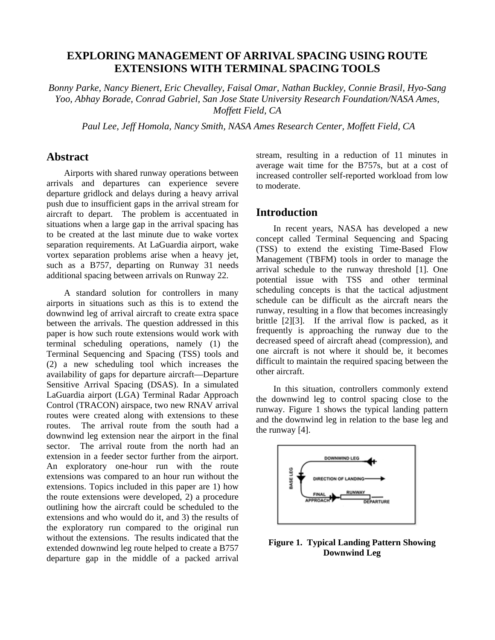# **EXPLORING MANAGEMENT OF ARRIVAL SPACING USING ROUTE EXTENSIONS WITH TERMINAL SPACING TOOLS**

*Bonny Parke, Nancy Bienert, Eric Chevalley, Faisal Omar, Nathan Buckley, Connie Brasil, Hyo-Sang Yoo, Abhay Borade, Conrad Gabriel, San Jose State University Research Foundation/NASA Ames, Moffett Field, CA* 

 *Paul Lee, Jeff Homola, Nancy Smith, NASA Ames Research Center, Moffett Field, CA* 

# **Abstract**

Airports with shared runway operations between arrivals and departures can experience severe departure gridlock and delays during a heavy arrival push due to insufficient gaps in the arrival stream for aircraft to depart. The problem is accentuated in situations when a large gap in the arrival spacing has to be created at the last minute due to wake vortex separation requirements. At LaGuardia airport, wake vortex separation problems arise when a heavy jet, such as a B757, departing on Runway 31 needs additional spacing between arrivals on Runway 22.

A standard solution for controllers in many airports in situations such as this is to extend the downwind leg of arrival aircraft to create extra space between the arrivals. The question addressed in this paper is how such route extensions would work with terminal scheduling operations, namely (1) the Terminal Sequencing and Spacing (TSS) tools and (2) a new scheduling tool which increases the availability of gaps for departure aircraft—Departure Sensitive Arrival Spacing (DSAS). In a simulated LaGuardia airport (LGA) Terminal Radar Approach Control (TRACON) airspace, two new RNAV arrival routes were created along with extensions to these routes. The arrival route from the south had a downwind leg extension near the airport in the final sector. The arrival route from the north had an extension in a feeder sector further from the airport. An exploratory one-hour run with the route extensions was compared to an hour run without the extensions. Topics included in this paper are 1) how the route extensions were developed, 2) a procedure outlining how the aircraft could be scheduled to the extensions and who would do it, and 3) the results of the exploratory run compared to the original run without the extensions. The results indicated that the extended downwind leg route helped to create a B757 departure gap in the middle of a packed arrival stream, resulting in a reduction of 11 minutes in average wait time for the B757s, but at a cost of increased controller self-reported workload from low to moderate.

## **Introduction**

In recent years, NASA has developed a new concept called Terminal Sequencing and Spacing (TSS) to extend the existing Time-Based Flow Management (TBFM) tools in order to manage the arrival schedule to the runway threshold [1]. One potential issue with TSS and other terminal scheduling concepts is that the tactical adjustment schedule can be difficult as the aircraft nears the runway, resulting in a flow that becomes increasingly brittle [2][3]. If the arrival flow is packed, as it frequently is approaching the runway due to the decreased speed of aircraft ahead (compression), and one aircraft is not where it should be, it becomes difficult to maintain the required spacing between the other aircraft.

In this situation, controllers commonly extend the downwind leg to control spacing close to the runway. Figure 1 shows the typical landing pattern and the downwind leg in relation to the base leg and the runway [4].



**Figure 1. Typical Landing Pattern Showing Downwind Leg**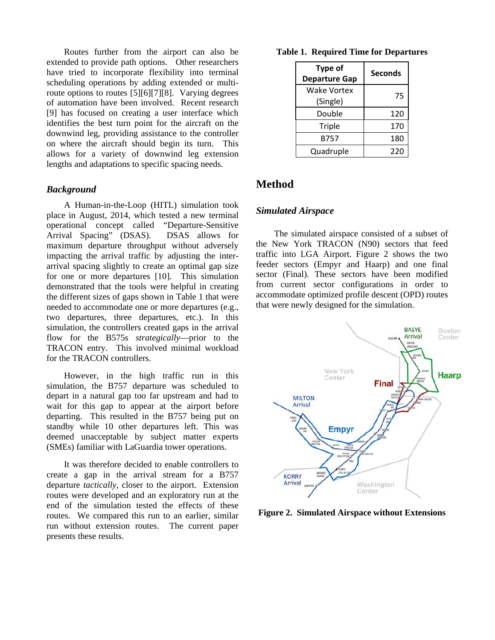Routes further from the airport can also be extended to provide path options. Other researchers have tried to incorporate flexibility into terminal scheduling operations by adding extended or multiroute options to routes [5][6][7][8]. Varying degrees of automation have been involved. Recent research [9] has focused on creating a user interface which identifies the best turn point for the aircraft on the downwind leg, providing assistance to the controller on where the aircraft should begin its turn. This allows for a variety of downwind leg extension lengths and adaptations to specific spacing needs.

#### *Background*

A Human-in-the-Loop (HITL) simulation took place in August, 2014, which tested a new terminal operational concept called "Departure-Sensitive Arrival Spacing" (DSAS). DSAS allows for maximum departure throughput without adversely impacting the arrival traffic by adjusting the interarrival spacing slightly to create an optimal gap size for one or more departures [10]. This simulation demonstrated that the tools were helpful in creating the different sizes of gaps shown in Table 1 that were needed to accommodate one or more departures (e.g., two departures, three departures, etc.). In this simulation, the controllers created gaps in the arrival flow for the B575s *strategically*—prior to the TRACON entry. This involved minimal workload for the TRACON controllers.

However, in the high traffic run in this simulation, the B757 departure was scheduled to depart in a natural gap too far upstream and had to wait for this gap to appear at the airport before departing. This resulted in the B757 being put on standby while 10 other departures left. This was deemed unacceptable by subject matter experts (SMEs) familiar with LaGuardia tower operations.

It was therefore decided to enable controllers to create a gap in the arrival stream for a B757 departure *tactically*, closer to the airport. Extension routes were developed and an exploratory run at the end of the simulation tested the effects of these routes. We compared this run to an earlier, similar run without extension routes. The current paper presents these results.

| <b>Table 1. Required Time for Departures</b> |
|----------------------------------------------|
|----------------------------------------------|

| Type of              | <b>Seconds</b> |  |
|----------------------|----------------|--|
| <b>Departure Gap</b> |                |  |
| Wake Vortex          | 75             |  |
| (Single)             |                |  |
| Double               | 120            |  |
| <b>Triple</b>        | 170            |  |
| B757                 | 180            |  |
| Quadruple            | 220            |  |

## **Method**

#### *Simulated Airspace*

The simulated airspace consisted of a subset of the New York TRACON (N90) sectors that feed traffic into LGA Airport. Figure 2 shows the two feeder sectors (Empyr and Haarp) and one final sector (Final). These sectors have been modified from current sector configurations in order to accommodate optimized profile descent (OPD) routes that were newly designed for the simulation.



**Figure 2. Simulated Airspace without Extensions**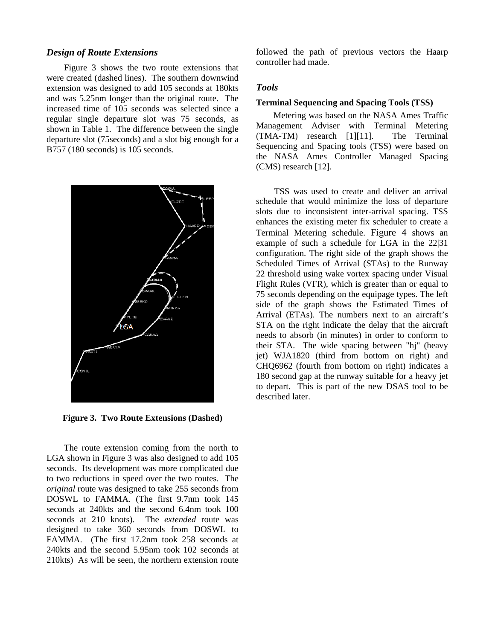## *Design of Route Extensions*

Figure 3 shows the two route extensions that were created (dashed lines). The southern downwind extension was designed to add 105 seconds at 180kts and was 5.25nm longer than the original route. The increased time of 105 seconds was selected since a regular single departure slot was 75 seconds, as shown in Table 1. The difference between the single departure slot (75seconds) and a slot big enough for a B757 (180 seconds) is 105 seconds.



**Figure 3. Two Route Extensions (Dashed)** 

The route extension coming from the north to LGA shown in Figure 3 was also designed to add 105 seconds. Its development was more complicated due to two reductions in speed over the two routes. The *original* route was designed to take 255 seconds from DOSWL to FAMMA. (The first 9.7nm took 145 seconds at 240kts and the second 6.4nm took 100 seconds at 210 knots). The *extended* route was designed to take 360 seconds from DOSWL to FAMMA. (The first 17.2nm took 258 seconds at 240kts and the second 5.95nm took 102 seconds at 210kts) As will be seen, the northern extension route

followed the path of previous vectors the Haarp controller had made.

#### *Tools*

#### **Terminal Sequencing and Spacing Tools (TSS)**

Metering was based on the NASA Ames Traffic Management Adviser with Terminal Metering (TMA-TM) research [1][11]. The Terminal Sequencing and Spacing tools (TSS) were based on the NASA Ames Controller Managed Spacing (CMS) research [12].

TSS was used to create and deliver an arrival schedule that would minimize the loss of departure slots due to inconsistent inter-arrival spacing. TSS enhances the existing meter fix scheduler to create a Terminal Metering schedule. Figure 4 shows an example of such a schedule for LGA in the 22|31 configuration. The right side of the graph shows the Scheduled Times of Arrival (STAs) to the Runway 22 threshold using wake vortex spacing under Visual Flight Rules (VFR), which is greater than or equal to 75 seconds depending on the equipage types. The left side of the graph shows the Estimated Times of Arrival (ETAs). The numbers next to an aircraft's STA on the right indicate the delay that the aircraft needs to absorb (in minutes) in order to conform to their STA. The wide spacing between "hj" (heavy jet) WJA1820 (third from bottom on right) and CHQ6962 (fourth from bottom on right) indicates a 180 second gap at the runway suitable for a heavy jet to depart. This is part of the new DSAS tool to be described later.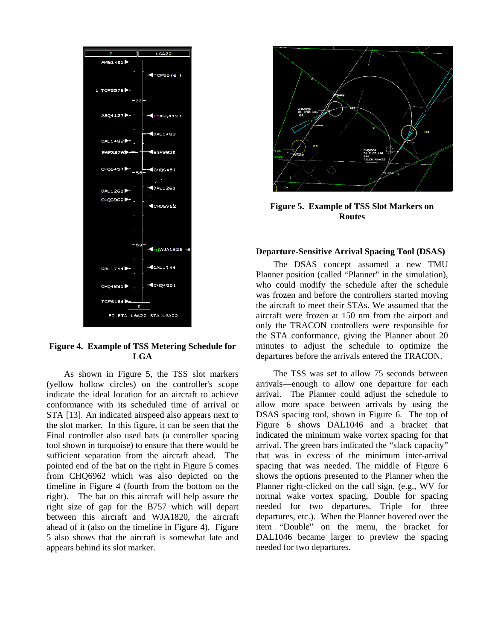

## **Figure 4. Example of TSS Metering Schedule for LGA**

As shown in Figure 5, the TSS slot markers (yellow hollow circles) on the controller's scope indicate the ideal location for an aircraft to achieve conformance with its scheduled time of arrival or STA [13]. An indicated airspeed also appears next to the slot marker. In this figure, it can be seen that the Final controller also used bats (a controller spacing tool shown in turquoise) to ensure that there would be sufficient separation from the aircraft ahead. The pointed end of the bat on the right in Figure 5 comes from CHQ6962 which was also depicted on the timeline in Figure 4 (fourth from the bottom on the right). The bat on this aircraft will help assure the right size of gap for the B757 which will depart between this aircraft and WJA1820, the aircraft ahead of it (also on the timeline in Figure 4). Figure 5 also shows that the aircraft is somewhat late and appears behind its slot marker.



**Figure 5. Example of TSS Slot Markers on Routes** 

#### **Departure-Sensitive Arrival Spacing Tool (DSAS)**

The DSAS concept assumed a new TMU Planner position (called "Planner" in the simulation), who could modify the schedule after the schedule was frozen and before the controllers started moving the aircraft to meet their STAs. We assumed that the aircraft were frozen at 150 nm from the airport and only the TRACON controllers were responsible for the STA conformance, giving the Planner about 20 minutes to adjust the schedule to optimize the departures before the arrivals entered the TRACON.

The TSS was set to allow 75 seconds between arrivals—enough to allow one departure for each arrival. The Planner could adjust the schedule to allow more space between arrivals by using the DSAS spacing tool, shown in Figure 6. The top of Figure 6 shows DAL1046 and a bracket that indicated the minimum wake vortex spacing for that arrival. The green bars indicated the "slack capacity" that was in excess of the minimum inter-arrival spacing that was needed. The middle of Figure 6 shows the options presented to the Planner when the Planner right-clicked on the call sign, (e.g., WV for normal wake vortex spacing, Double for spacing needed for two departures, Triple for three departures, etc.). When the Planner hovered over the item "Double" on the menu, the bracket for DAL1046 became larger to preview the spacing needed for two departures.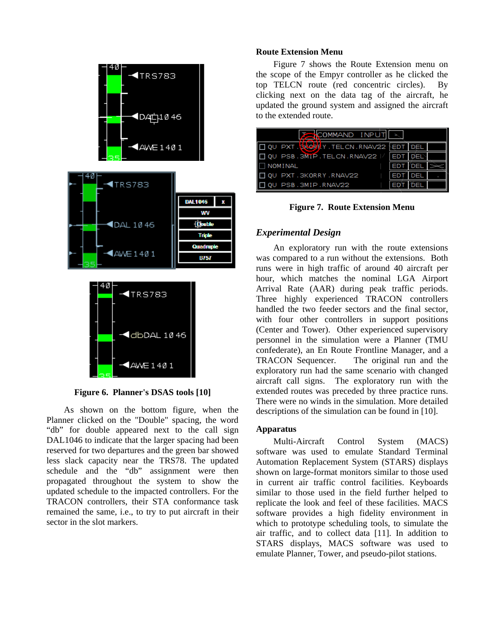

**Figure 6. Planner's DSAS tools [10]** 

As shown on the bottom figure, when the Planner clicked on the "Double" spacing, the word "db" for double appeared next to the call sign DAL1046 to indicate that the larger spacing had been reserved for two departures and the green bar showed less slack capacity near the TRS78. The updated schedule and the "db" assignment were then propagated throughout the system to show the updated schedule to the impacted controllers. For the TRACON controllers, their STA conformance task remained the same, i.e., to try to put aircraft in their sector in the slot markers.

## **Route Extension Menu**

Figure 7 shows the Route Extension menu on the scope of the Empyr controller as he clicked the top TELCN route (red concentric circles). By clicking next on the data tag of the aircraft, he updated the ground system and assigned the aircraft to the extended route.

| COMMAND INPUT                             |            |     |  |  |  |
|-------------------------------------------|------------|-----|--|--|--|
| QU PXT. SKORKY. TELCN. RNAV22 EDT DEL     |            |     |  |  |  |
| □ QU PSB.3MIP.TELCN.RNAV22  / EDT DEL     |            |     |  |  |  |
| $\Box$ NOM INAL                           | EDT DEL    |     |  |  |  |
| QU PXT.3KORRY.RNAV22                      | EDT        | DEL |  |  |  |
| $\Box$ OU PSB. $\overline{3}$ MIP. RNAV22 | <b>EDT</b> | DEL |  |  |  |

**Figure 7. Route Extension Menu** 

## *Experimental Design*

An exploratory run with the route extensions was compared to a run without the extensions. Both runs were in high traffic of around 40 aircraft per hour, which matches the nominal LGA Airport Arrival Rate (AAR) during peak traffic periods. Three highly experienced TRACON controllers handled the two feeder sectors and the final sector, with four other controllers in support positions (Center and Tower). Other experienced supervisory personnel in the simulation were a Planner (TMU confederate), an En Route Frontline Manager, and a TRACON Sequencer. The original run and the exploratory run had the same scenario with changed aircraft call signs. The exploratory run with the extended routes was preceded by three practice runs. There were no winds in the simulation. More detailed descriptions of the simulation can be found in [10].

## **Apparatus**

Multi-Aircraft Control System (MACS) software was used to emulate Standard Terminal Automation Replacement System (STARS) displays shown on large-format monitors similar to those used in current air traffic control facilities. Keyboards similar to those used in the field further helped to replicate the look and feel of these facilities. MACS software provides a high fidelity environment in which to prototype scheduling tools, to simulate the air traffic, and to collect data [11]. In addition to STARS displays, MACS software was used to emulate Planner, Tower, and pseudo-pilot stations.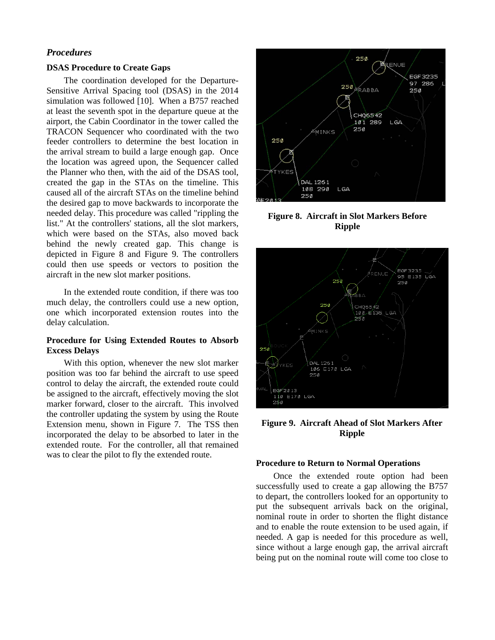## *Procedures*

#### **DSAS Procedure to Create Gaps**

The coordination developed for the Departure-Sensitive Arrival Spacing tool (DSAS) in the 2014 simulation was followed [10]. When a B757 reached at least the seventh spot in the departure queue at the airport, the Cabin Coordinator in the tower called the TRACON Sequencer who coordinated with the two feeder controllers to determine the best location in the arrival stream to build a large enough gap. Once the location was agreed upon, the Sequencer called the Planner who then, with the aid of the DSAS tool, created the gap in the STAs on the timeline. This caused all of the aircraft STAs on the timeline behind the desired gap to move backwards to incorporate the needed delay. This procedure was called "rippling the list." At the controllers' stations, all the slot markers, which were based on the STAs, also moved back behind the newly created gap. This change is depicted in Figure 8 and Figure 9. The controllers could then use speeds or vectors to position the aircraft in the new slot marker positions.

In the extended route condition, if there was too much delay, the controllers could use a new option, one which incorporated extension routes into the delay calculation.

### **Procedure for Using Extended Routes to Absorb Excess Delays**

With this option, whenever the new slot marker position was too far behind the aircraft to use speed control to delay the aircraft, the extended route could be assigned to the aircraft, effectively moving the slot marker forward, closer to the aircraft. This involved the controller updating the system by using the Route Extension menu, shown in Figure 7. The TSS then incorporated the delay to be absorbed to later in the extended route. For the controller, all that remained was to clear the pilot to fly the extended route.



**Figure 8. Aircraft in Slot Markers Before Ripple** 



**Figure 9. Aircraft Ahead of Slot Markers After Ripple** 

#### **Procedure to Return to Normal Operations**

Once the extended route option had been successfully used to create a gap allowing the B757 to depart, the controllers looked for an opportunity to put the subsequent arrivals back on the original, nominal route in order to shorten the flight distance and to enable the route extension to be used again, if needed. A gap is needed for this procedure as well, since without a large enough gap, the arrival aircraft being put on the nominal route will come too close to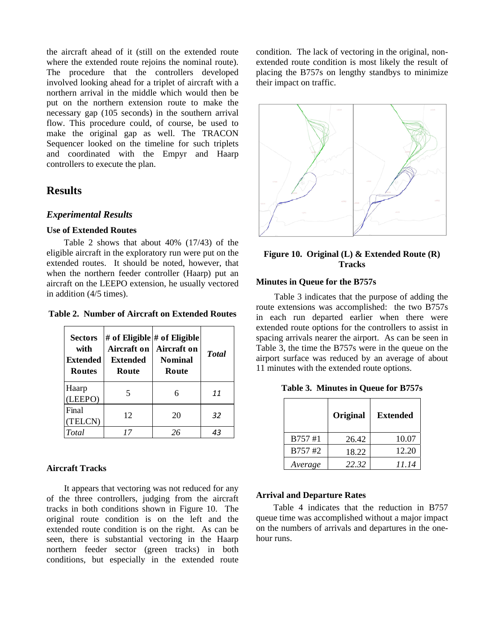the aircraft ahead of it (still on the extended route where the extended route rejoins the nominal route). The procedure that the controllers developed involved looking ahead for a triplet of aircraft with a northern arrival in the middle which would then be put on the northern extension route to make the necessary gap (105 seconds) in the southern arrival flow. This procedure could, of course, be used to make the original gap as well. The TRACON Sequencer looked on the timeline for such triplets and coordinated with the Empyr and Haarp controllers to execute the plan.

## **Results**

#### *Experimental Results*

#### **Use of Extended Routes**

Table 2 shows that about 40% (17/43) of the eligible aircraft in the exploratory run were put on the extended routes. It should be noted, however, that when the northern feeder controller (Haarp) put an aircraft on the LEEPO extension, he usually vectored in addition (4/5 times).

### **Table 2. Number of Aircraft on Extended Routes**

| <b>Sectors</b><br>with<br><b>Extended</b><br><b>Routes</b> | Extended<br>Route | # of Eligible $\#$ of Eligible<br>Aircraft on   Aircraft on<br><b>Nominal</b><br>Route | <b>Total</b> |
|------------------------------------------------------------|-------------------|----------------------------------------------------------------------------------------|--------------|
| Haarp<br>(LEEPO)                                           | 5                 | 6                                                                                      | 11           |
| Final<br>(TELCN)                                           | 12                | 20                                                                                     | 32           |
| <b>Total</b>                                               | 17                | 26                                                                                     | 43           |

## **Aircraft Tracks**

It appears that vectoring was not reduced for any of the three controllers, judging from the aircraft tracks in both conditions shown in Figure 10. The original route condition is on the left and the extended route condition is on the right. As can be seen, there is substantial vectoring in the Haarp northern feeder sector (green tracks) in both conditions, but especially in the extended route condition. The lack of vectoring in the original, nonextended route condition is most likely the result of placing the B757s on lengthy standbys to minimize their impact on traffic.



## **Figure 10. Original (L) & Extended Route (R) Tracks**

#### **Minutes in Queue for the B757s**

Table 3 indicates that the purpose of adding the route extensions was accomplished: the two B757s in each run departed earlier when there were extended route options for the controllers to assist in spacing arrivals nearer the airport. As can be seen in Table 3, the time the B757s were in the queue on the airport surface was reduced by an average of about 11 minutes with the extended route options.

|  | Table 3. Minutes in Queue for B757s |  |  |  |  |
|--|-------------------------------------|--|--|--|--|
|--|-------------------------------------|--|--|--|--|

|         | Original | <b>Extended</b> |
|---------|----------|-----------------|
| B757#1  | 26.42    | 10.07           |
| B757#2  | 18.22    | 12.20           |
| Average | 22.32    | 11.14           |

#### **Arrival and Departure Rates**

Table 4 indicates that the reduction in B757 queue time was accomplished without a major impact on the numbers of arrivals and departures in the onehour runs.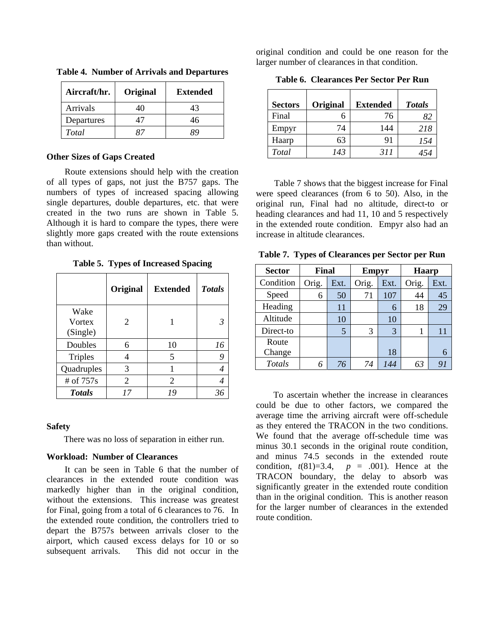| Aircraft/hr. | Original | <b>Extended</b> |
|--------------|----------|-----------------|
| Arrivals     |          | 43              |
| Departures   |          | 46              |
| Total        |          |                 |

**Table 4. Number of Arrivals and Departures** 

#### **Other Sizes of Gaps Created**

Route extensions should help with the creation of all types of gaps, not just the B757 gaps. The numbers of types of increased spacing allowing single departures, double departures, etc. that were created in the two runs are shown in Table 5. Although it is hard to compare the types, there were slightly more gaps created with the route extensions than without.

**Table 5. Types of Increased Spacing** 

|                            | Original | <b>Extended</b> | <b>Totals</b>  |
|----------------------------|----------|-----------------|----------------|
| Wake<br>Vortex<br>(Single) | 2        |                 | 3              |
| Doubles                    | 6        | 10              | 16             |
| <b>Triples</b>             |          | 5               | 9              |
| Quadruples                 | 3        |                 | $\overline{4}$ |
| # of 757s                  | 2        | 2               |                |
| <b>Totals</b>              | 17       | 19              | 36             |

#### **Safety**

There was no loss of separation in either run.

#### **Workload: Number of Clearances**

It can be seen in Table 6 that the number of clearances in the extended route condition was markedly higher than in the original condition, without the extensions. This increase was greatest for Final, going from a total of 6 clearances to 76. In the extended route condition, the controllers tried to depart the B757s between arrivals closer to the airport, which caused excess delays for 10 or so subsequent arrivals. This did not occur in the original condition and could be one reason for the larger number of clearances in that condition.

**Table 6. Clearances Per Sector Per Run** 

| <b>Sectors</b> | Original | <b>Extended</b> | <b>Totals</b> |
|----------------|----------|-----------------|---------------|
| Final          |          | 76              | 82            |
| Empyr          | 74       | 144             | 218           |
| Haarp          | 63       | 91              | 154           |
| Total          | 143      | 311             |               |

Table 7 shows that the biggest increase for Final were speed clearances (from 6 to 50). Also, in the original run, Final had no altitude, direct-to or heading clearances and had 11, 10 and 5 respectively in the extended route condition. Empyr also had an increase in altitude clearances.

**Table 7. Types of Clearances per Sector per Run** 

| Sector    | <b>Final</b> |                         | Empyr |      | <b>Haarp</b> |      |
|-----------|--------------|-------------------------|-------|------|--------------|------|
| Condition | Orig.        | Ext.                    | Orig. | Ext. | Orig.        | Ext. |
| Speed     | 6            | 50                      | 71    | 107  | 44           | 45   |
| Heading   |              | 11                      |       | 6    | 18           | 29   |
| Altitude  |              | 10                      |       | 10   |              |      |
| Direct-to |              | $\overline{\mathbf{5}}$ | 3     | 3    |              |      |
| Route     |              |                         |       |      |              |      |
| Change    |              |                         |       | 18   |              |      |
| Totals    | 6            | 76                      | 74    | 144  | 63           |      |

To ascertain whether the increase in clearances could be due to other factors, we compared the average time the arriving aircraft were off-schedule as they entered the TRACON in the two conditions. We found that the average off-schedule time was minus 30.1 seconds in the original route condition, and minus 74.5 seconds in the extended route condition,  $t(81)=3.4$ ,  $p = .001$ ). Hence at the TRACON boundary, the delay to absorb was significantly greater in the extended route condition than in the original condition. This is another reason for the larger number of clearances in the extended route condition.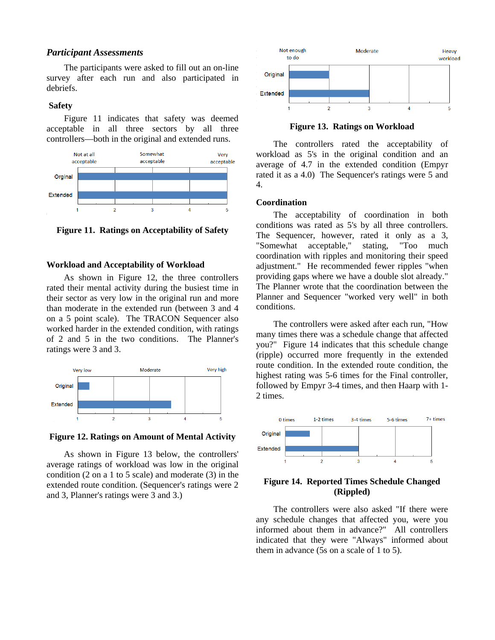## *Participant Assessments*

The participants were asked to fill out an on-line survey after each run and also participated in debriefs.

#### **Safety**

Figure 11 indicates that safety was deemed acceptable in all three sectors by all three controllers—both in the original and extended runs.



**Figure 11. Ratings on Acceptability of Safety** 

#### **Workload and Acceptability of Workload**

As shown in Figure 12, the three controllers rated their mental activity during the busiest time in their sector as very low in the original run and more than moderate in the extended run (between 3 and 4 on a 5 point scale). The TRACON Sequencer also worked harder in the extended condition, with ratings of 2 and 5 in the two conditions. The Planner's ratings were 3 and 3.





As shown in Figure 13 below, the controllers' average ratings of workload was low in the original condition (2 on a 1 to 5 scale) and moderate (3) in the extended route condition. (Sequencer's ratings were 2 and 3, Planner's ratings were 3 and 3.)



**Figure 13. Ratings on Workload** 

The controllers rated the acceptability of workload as 5's in the original condition and an average of 4.7 in the extended condition (Empyr rated it as a 4.0) The Sequencer's ratings were 5 and 4.

#### **Coordination**

The acceptability of coordination in both conditions was rated as 5's by all three controllers. The Sequencer, however, rated it only as a 3, "Somewhat acceptable," stating, "Too much coordination with ripples and monitoring their speed adjustment." He recommended fewer ripples "when providing gaps where we have a double slot already." The Planner wrote that the coordination between the Planner and Sequencer "worked very well" in both conditions.

The controllers were asked after each run, "How many times there was a schedule change that affected you?" Figure 14 indicates that this schedule change (ripple) occurred more frequently in the extended route condition. In the extended route condition, the highest rating was 5-6 times for the Final controller, followed by Empyr 3-4 times, and then Haarp with 1- 2 times.



### **Figure 14. Reported Times Schedule Changed (Rippled)**

The controllers were also asked "If there were any schedule changes that affected you, were you informed about them in advance?" All controllers indicated that they were "Always" informed about them in advance (5s on a scale of 1 to 5).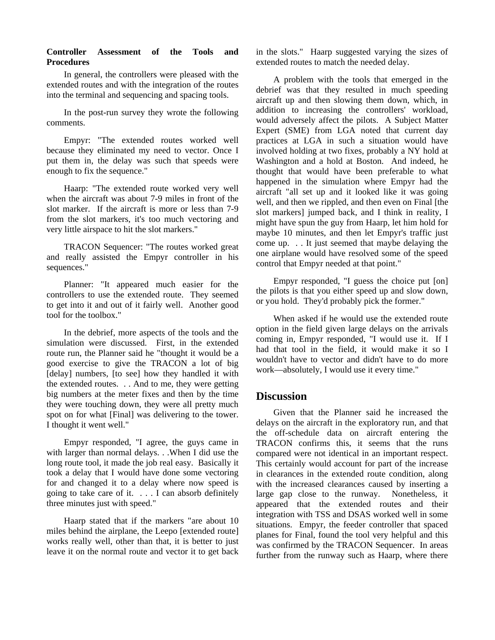## **Controller Assessment of the Tools and Procedures**

In general, the controllers were pleased with the extended routes and with the integration of the routes into the terminal and sequencing and spacing tools.

In the post-run survey they wrote the following comments.

Empyr: "The extended routes worked well because they eliminated my need to vector. Once I put them in, the delay was such that speeds were enough to fix the sequence."

Haarp: "The extended route worked very well when the aircraft was about 7-9 miles in front of the slot marker. If the aircraft is more or less than 7-9 from the slot markers, it's too much vectoring and very little airspace to hit the slot markers."

TRACON Sequencer: "The routes worked great and really assisted the Empyr controller in his sequences."

Planner: "It appeared much easier for the controllers to use the extended route. They seemed to get into it and out of it fairly well. Another good tool for the toolbox."

In the debrief, more aspects of the tools and the simulation were discussed. First, in the extended route run, the Planner said he "thought it would be a good exercise to give the TRACON a lot of big [delay] numbers, [to see] how they handled it with the extended routes. . . And to me, they were getting big numbers at the meter fixes and then by the time they were touching down, they were all pretty much spot on for what [Final] was delivering to the tower. I thought it went well."

Empyr responded, "I agree, the guys came in with larger than normal delays. . .When I did use the long route tool, it made the job real easy. Basically it took a delay that I would have done some vectoring for and changed it to a delay where now speed is going to take care of it. . . . I can absorb definitely three minutes just with speed."

Haarp stated that if the markers "are about 10 miles behind the airplane, the Leepo [extended route] works really well, other than that, it is better to just leave it on the normal route and vector it to get back

in the slots." Haarp suggested varying the sizes of extended routes to match the needed delay.

A problem with the tools that emerged in the debrief was that they resulted in much speeding aircraft up and then slowing them down, which, in addition to increasing the controllers' workload, would adversely affect the pilots. A Subject Matter Expert (SME) from LGA noted that current day practices at LGA in such a situation would have involved holding at two fixes, probably a NY hold at Washington and a hold at Boston. And indeed, he thought that would have been preferable to what happened in the simulation where Empyr had the aircraft "all set up and it looked like it was going well, and then we rippled, and then even on Final [the slot markers] jumped back, and I think in reality, I might have spun the guy from Haarp, let him hold for maybe 10 minutes, and then let Empyr's traffic just come up. . . It just seemed that maybe delaying the one airplane would have resolved some of the speed control that Empyr needed at that point."

Empyr responded, "I guess the choice put [on] the pilots is that you either speed up and slow down, or you hold. They'd probably pick the former."

When asked if he would use the extended route option in the field given large delays on the arrivals coming in, Empyr responded, "I would use it. If I had that tool in the field, it would make it so I wouldn't have to vector and didn't have to do more work—absolutely, I would use it every time."

# **Discussion**

Given that the Planner said he increased the delays on the aircraft in the exploratory run, and that the off-schedule data on aircraft entering the TRACON confirms this, it seems that the runs compared were not identical in an important respect. This certainly would account for part of the increase in clearances in the extended route condition, along with the increased clearances caused by inserting a large gap close to the runway. Nonetheless, it appeared that the extended routes and their integration with TSS and DSAS worked well in some situations. Empyr, the feeder controller that spaced planes for Final, found the tool very helpful and this was confirmed by the TRACON Sequencer. In areas further from the runway such as Haarp, where there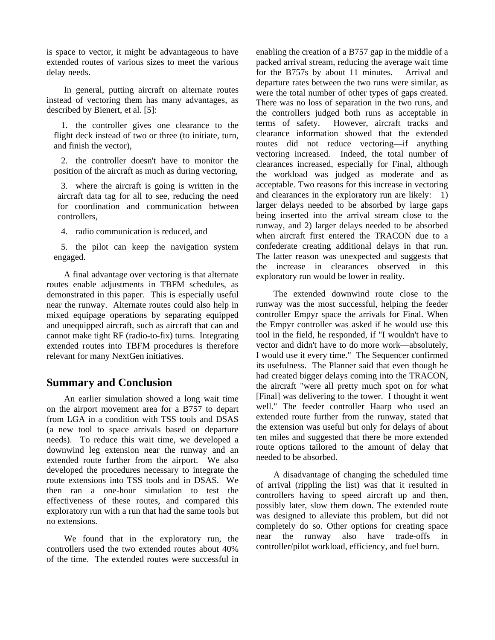is space to vector, it might be advantageous to have extended routes of various sizes to meet the various delay needs.

In general, putting aircraft on alternate routes instead of vectoring them has many advantages, as described by Bienert, et al. [5]:

1. the controller gives one clearance to the flight deck instead of two or three (to initiate, turn, and finish the vector),

2. the controller doesn't have to monitor the position of the aircraft as much as during vectoring,

3. where the aircraft is going is written in the aircraft data tag for all to see, reducing the need for coordination and communication between controllers,

4. radio communication is reduced, and

5. the pilot can keep the navigation system engaged.

A final advantage over vectoring is that alternate routes enable adjustments in TBFM schedules, as demonstrated in this paper. This is especially useful near the runway. Alternate routes could also help in mixed equipage operations by separating equipped and unequipped aircraft, such as aircraft that can and cannot make tight RF (radio-to-fix) turns. Integrating extended routes into TBFM procedures is therefore relevant for many NextGen initiatives.

## **Summary and Conclusion**

An earlier simulation showed a long wait time on the airport movement area for a B757 to depart from LGA in a condition with TSS tools and DSAS (a new tool to space arrivals based on departure needs). To reduce this wait time, we developed a downwind leg extension near the runway and an extended route further from the airport. We also developed the procedures necessary to integrate the route extensions into TSS tools and in DSAS. We then ran a one-hour simulation to test the effectiveness of these routes, and compared this exploratory run with a run that had the same tools but no extensions.

We found that in the exploratory run, the controllers used the two extended routes about 40% of the time. The extended routes were successful in

enabling the creation of a B757 gap in the middle of a packed arrival stream, reducing the average wait time for the B757s by about 11 minutes. Arrival and departure rates between the two runs were similar, as were the total number of other types of gaps created. There was no loss of separation in the two runs, and the controllers judged both runs as acceptable in terms of safety. However, aircraft tracks and clearance information showed that the extended routes did not reduce vectoring—if anything vectoring increased. Indeed, the total number of clearances increased, especially for Final, although the workload was judged as moderate and as acceptable. Two reasons for this increase in vectoring and clearances in the exploratory run are likely: 1) larger delays needed to be absorbed by large gaps being inserted into the arrival stream close to the runway, and 2) larger delays needed to be absorbed when aircraft first entered the TRACON due to a confederate creating additional delays in that run. The latter reason was unexpected and suggests that the increase in clearances observed in this exploratory run would be lower in reality.

The extended downwind route close to the runway was the most successful, helping the feeder controller Empyr space the arrivals for Final. When the Empyr controller was asked if he would use this tool in the field, he responded, if "I wouldn't have to vector and didn't have to do more work—absolutely, I would use it every time." The Sequencer confirmed its usefulness. The Planner said that even though he had created bigger delays coming into the TRACON, the aircraft "were all pretty much spot on for what [Final] was delivering to the tower. I thought it went well." The feeder controller Haarp who used an extended route further from the runway, stated that the extension was useful but only for delays of about ten miles and suggested that there be more extended route options tailored to the amount of delay that needed to be absorbed.

A disadvantage of changing the scheduled time of arrival (rippling the list) was that it resulted in controllers having to speed aircraft up and then, possibly later, slow them down. The extended route was designed to alleviate this problem, but did not completely do so. Other options for creating space near the runway also have trade-offs in controller/pilot workload, efficiency, and fuel burn.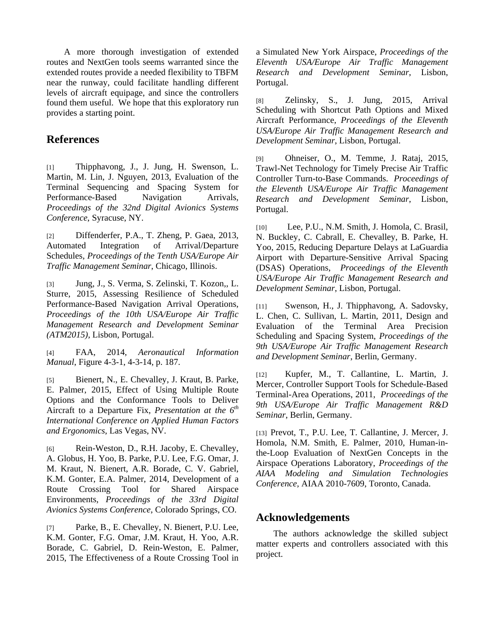A more thorough investigation of extended routes and NextGen tools seems warranted since the extended routes provide a needed flexibility to TBFM near the runway, could facilitate handling different levels of aircraft equipage, and since the controllers found them useful. We hope that this exploratory run provides a starting point.

# **References**

[1] Thipphavong, J., J. Jung, H. Swenson, L. Martin, M. Lin, J. Nguyen, 2013, Evaluation of the Terminal Sequencing and Spacing System for Performance-Based Navigation Arrivals, *Proceedings of the 32nd Digital Avionics Systems Conference*, Syracuse, NY.

[2] Diffenderfer, P.A., T. Zheng, P. Gaea, 2013, Automated Integration of Arrival/Departure Schedules, *Proceedings of the Tenth USA/Europe Air Traffic Management Seminar*, Chicago, Illinois.

[3] Jung, J., S. Verma, S. Zelinski, T. Kozon,, L. Sturre, 2015, Assessing Resilience of Scheduled Performance-Based Navigation Arrival Operations, *Proceedings of the 10th USA/Europe Air Traffic Management Research and Development Seminar (ATM2015),* Lisbon, Portugal.

[4] FAA, 2014, *Aeronautical Information Manual*, Figure 4-3-1, 4-3-14, p. 187.

[5] Bienert, N., E. Chevalley, J. Kraut, B. Parke, E. Palmer, 2015, Effect of Using Multiple Route Options and the Conformance Tools to Deliver Aircraft to a Departure Fix, *Presentation at the 6th International Conference on Applied Human Factors and Ergonomics*, Las Vegas, NV.

[6] Rein-Weston, D., R.H. Jacoby, E. Chevalley, A. Globus, H. Yoo, B. Parke, P.U. Lee, F.G. Omar, J. M. Kraut, N. Bienert, A.R. Borade, C. V. Gabriel, K.M. Gonter, E.A. Palmer, 2014, Development of a Route Crossing Tool for Shared Airspace Environments, *Proceedings of the 33rd Digital Avionics Systems Conference*, Colorado Springs, CO.

[7] Parke, B., E. Chevalley, N. Bienert, P.U. Lee, K.M. Gonter, F.G. Omar, J.M. Kraut, H. Yoo, A.R. Borade, C. Gabriel, D. Rein-Weston, E. Palmer, 2015, The Effectiveness of a Route Crossing Tool in a Simulated New York Airspace, *Proceedings of the Eleventh USA/Europe Air Traffic Management Research and Development Seminar*, Lisbon, Portugal.

[8] Zelinsky, S., J. Jung, 2015, Arrival Scheduling with Shortcut Path Options and Mixed Aircraft Performance, *Proceedings of the Eleventh USA/Europe Air Traffic Management Research and Development Seminar*, Lisbon, Portugal.

[9] Ohneiser, O., M. Temme, J. Rataj, 2015, Trawl-Net Technology for Timely Precise Air Traffic Controller Turn-to-Base Commands. *Proceedings of the Eleventh USA/Europe Air Traffic Management Research and Development Seminar*, Lisbon, Portugal.

[10] Lee, P.U., N.M. Smith, J. Homola, C. Brasil, N. Buckley, C. Cabrall, E. Chevalley, B. Parke, H. Yoo, 2015, Reducing Departure Delays at LaGuardia Airport with Departure-Sensitive Arrival Spacing (DSAS) Operations, *Proceedings of the Eleventh USA/Europe Air Traffic Management Research and Development Seminar*, Lisbon, Portugal.

[11] Swenson, H., J. Thipphavong, A. Sadovsky, L. Chen, C. Sullivan, L. Martin, 2011, Design and Evaluation of the Terminal Area Precision Scheduling and Spacing System, *Proceedings of the 9th USA/Europe Air Traffic Management Research and Development Seminar*, Berlin, Germany.

[12] Kupfer, M., T. Callantine, L. Martin, J. Mercer, Controller Support Tools for Schedule-Based Terminal-Area Operations, 2011, *Proceedings of the 9th USA/Europe Air Traffic Management R&D Seminar*, Berlin, Germany.

[13] Prevot, T., P.U. Lee, T. Callantine, J. Mercer, J. Homola, N.M. Smith, E. Palmer, 2010, Human-inthe-Loop Evaluation of NextGen Concepts in the Airspace Operations Laboratory, *Proceedings of the AIAA Modeling and Simulation Technologies Conference,* AIAA 2010-7609, Toronto, Canada.

# **Acknowledgements**

The authors acknowledge the skilled subject matter experts and controllers associated with this project.